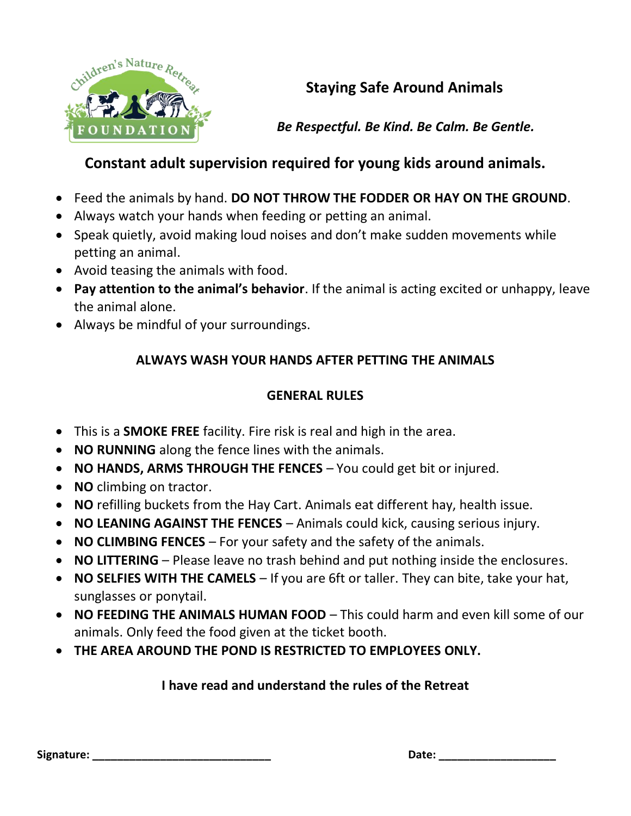

# **Staying Safe Around Animals**

*Be Respectful. Be Kind. Be Calm. Be Gentle.*

## **Constant adult supervision required for young kids around animals.**

- Feed the animals by hand. **DO NOT THROW THE FODDER OR HAY ON THE GROUND**.
- Always watch your hands when feeding or petting an animal.
- Speak quietly, avoid making loud noises and don't make sudden movements while petting an animal.
- Avoid teasing the animals with food.
- **Pay attention to the animal's behavior**. If the animal is acting excited or unhappy, leave the animal alone.
- Always be mindful of your surroundings.

### **ALWAYS WASH YOUR HANDS AFTER PETTING THE ANIMALS**

#### **GENERAL RULES**

- This is a **SMOKE FREE** facility. Fire risk is real and high in the area.
- **NO RUNNING** along the fence lines with the animals.
- **NO HANDS, ARMS THROUGH THE FENCES** You could get bit or injured.
- **NO** climbing on tractor.
- **NO** refilling buckets from the Hay Cart. Animals eat different hay, health issue.
- **NO LEANING AGAINST THE FENCES**  Animals could kick, causing serious injury.
- **NO CLIMBING FENCES**  For your safety and the safety of the animals.
- **NO LITTERING** Please leave no trash behind and put nothing inside the enclosures.
- **NO SELFIES WITH THE CAMELS** If you are 6ft or taller. They can bite, take your hat, sunglasses or ponytail.
- **NO FEEDING THE ANIMALS HUMAN FOOD**  This could harm and even kill some of our animals. Only feed the food given at the ticket booth.
- **THE AREA AROUND THE POND IS RESTRICTED TO EMPLOYEES ONLY.**

#### **I have read and understand the rules of the Retreat**

| Signature: |
|------------|
|            |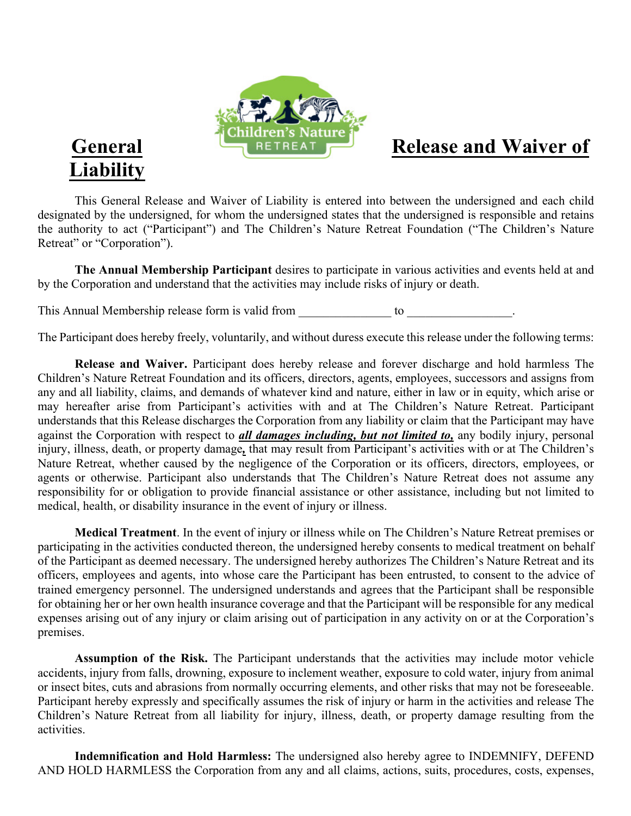

# **Liability**

This General Release and Waiver of Liability is entered into between the undersigned and each child designated by the undersigned, for whom the undersigned states that the undersigned is responsible and retains the authority to act ("Participant") and The Children's Nature Retreat Foundation ("The Children's Nature Retreat" or "Corporation").

**The Annual Membership Participant** desires to participate in various activities and events held at and by the Corporation and understand that the activities may include risks of injury or death.

This Annual Membership release form is valid from  $\qquad \qquad$  to  $\qquad \qquad$ 

The Participant does hereby freely, voluntarily, and without duress execute this release under the following terms:

**Release and Waiver.** Participant does hereby release and forever discharge and hold harmless The Children's Nature Retreat Foundation and its officers, directors, agents, employees, successors and assigns from any and all liability, claims, and demands of whatever kind and nature, either in law or in equity, which arise or may hereafter arise from Participant's activities with and at The Children's Nature Retreat. Participant understands that this Release discharges the Corporation from any liability or claim that the Participant may have against the Corporation with respect to *all damages including, but not limited to,* any bodily injury, personal injury, illness, death, or property damage*,* that may result from Participant's activities with or at The Children's Nature Retreat, whether caused by the negligence of the Corporation or its officers, directors, employees, or agents or otherwise. Participant also understands that The Children's Nature Retreat does not assume any responsibility for or obligation to provide financial assistance or other assistance, including but not limited to medical, health, or disability insurance in the event of injury or illness.

**Medical Treatment**. In the event of injury or illness while on The Children's Nature Retreat premises or participating in the activities conducted thereon, the undersigned hereby consents to medical treatment on behalf of the Participant as deemed necessary. The undersigned hereby authorizes The Children's Nature Retreat and its officers, employees and agents, into whose care the Participant has been entrusted, to consent to the advice of trained emergency personnel. The undersigned understands and agrees that the Participant shall be responsible for obtaining her or her own health insurance coverage and that the Participant will be responsible for any medical expenses arising out of any injury or claim arising out of participation in any activity on or at the Corporation's premises.

**Assumption of the Risk.** The Participant understands that the activities may include motor vehicle accidents, injury from falls, drowning, exposure to inclement weather, exposure to cold water, injury from animal or insect bites, cuts and abrasions from normally occurring elements, and other risks that may not be foreseeable. Participant hereby expressly and specifically assumes the risk of injury or harm in the activities and release The Children's Nature Retreat from all liability for injury, illness, death, or property damage resulting from the activities.

**Indemnification and Hold Harmless:** The undersigned also hereby agree to INDEMNIFY, DEFEND AND HOLD HARMLESS the Corporation from any and all claims, actions, suits, procedures, costs, expenses,